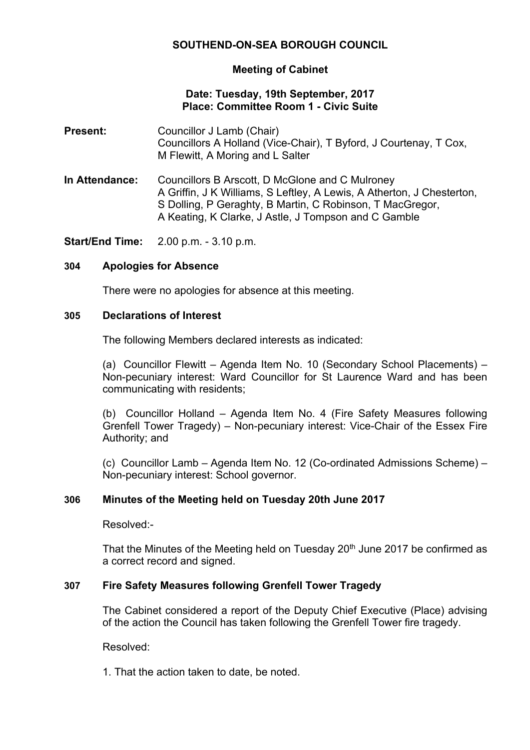# **SOUTHEND-ON-SEA BOROUGH COUNCIL**

### **Meeting of Cabinet**

### **Date: Tuesday, 19th September, 2017 Place: Committee Room 1 - Civic Suite**

- **Present:** Councillor J Lamb (Chair) Councillors A Holland (Vice-Chair), T Byford, J Courtenay, T Cox, M Flewitt, A Moring and L Salter
- **In Attendance:** Councillors B Arscott, D McGlone and C Mulroney A Griffin, J K Williams, S Leftley, A Lewis, A Atherton, J Chesterton, S Dolling, P Geraghty, B Martin, C Robinson, T MacGregor, A Keating, K Clarke, J Astle, J Tompson and C Gamble

**Start/End Time:** 2.00 p.m. - 3.10 p.m.

### **304 Apologies for Absence**

There were no apologies for absence at this meeting.

### **305 Declarations of Interest**

The following Members declared interests as indicated:

(a) Councillor Flewitt – Agenda Item No. 10 (Secondary School Placements) – Non-pecuniary interest: Ward Councillor for St Laurence Ward and has been communicating with residents;

(b) Councillor Holland – Agenda Item No. 4 (Fire Safety Measures following Grenfell Tower Tragedy) – Non-pecuniary interest: Vice-Chair of the Essex Fire Authority; and

(c) Councillor Lamb – Agenda Item No. 12 (Co-ordinated Admissions Scheme) – Non-pecuniary interest: School governor.

### **306 Minutes of the Meeting held on Tuesday 20th June 2017**

Resolved:-

That the Minutes of the Meeting held on Tuesday 20<sup>th</sup> June 2017 be confirmed as a correct record and signed.

## **307 Fire Safety Measures following Grenfell Tower Tragedy**

The Cabinet considered a report of the Deputy Chief Executive (Place) advising of the action the Council has taken following the Grenfell Tower fire tragedy.

Resolved:

1. That the action taken to date, be noted.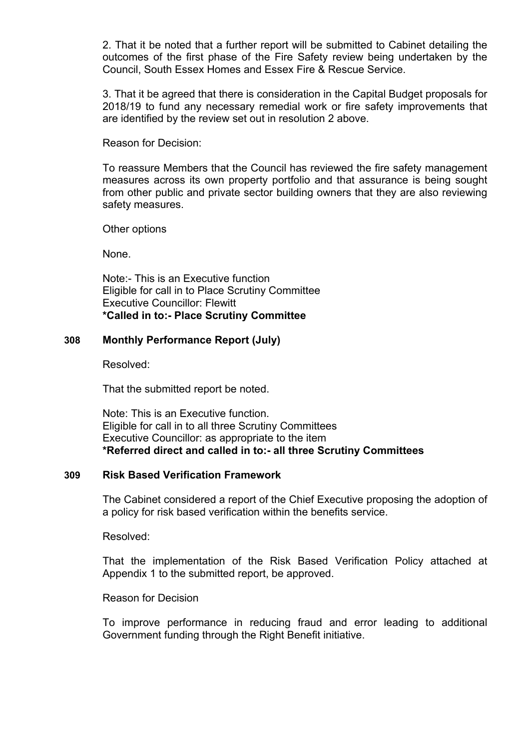2. That it be noted that a further report will be submitted to Cabinet detailing the outcomes of the first phase of the Fire Safety review being undertaken by the Council, South Essex Homes and Essex Fire & Rescue Service.

3. That it be agreed that there is consideration in the Capital Budget proposals for 2018/19 to fund any necessary remedial work or fire safety improvements that are identified by the review set out in resolution 2 above.

Reason for Decision:

To reassure Members that the Council has reviewed the fire safety management measures across its own property portfolio and that assurance is being sought from other public and private sector building owners that they are also reviewing safety measures.

Other options

None.

Note:- This is an Executive function Eligible for call in to Place Scrutiny Committee Executive Councillor: Flewitt **\*Called in to:- Place Scrutiny Committee**

## **308 Monthly Performance Report (July)**

Resolved:

That the submitted report be noted.

Note: This is an Executive function. Eligible for call in to all three Scrutiny Committees Executive Councillor: as appropriate to the item **\*Referred direct and called in to:- all three Scrutiny Committees**

## **309 Risk Based Verification Framework**

The Cabinet considered a report of the Chief Executive proposing the adoption of a policy for risk based verification within the benefits service.

Resolved:

That the implementation of the Risk Based Verification Policy attached at Appendix 1 to the submitted report, be approved.

Reason for Decision

To improve performance in reducing fraud and error leading to additional Government funding through the Right Benefit initiative.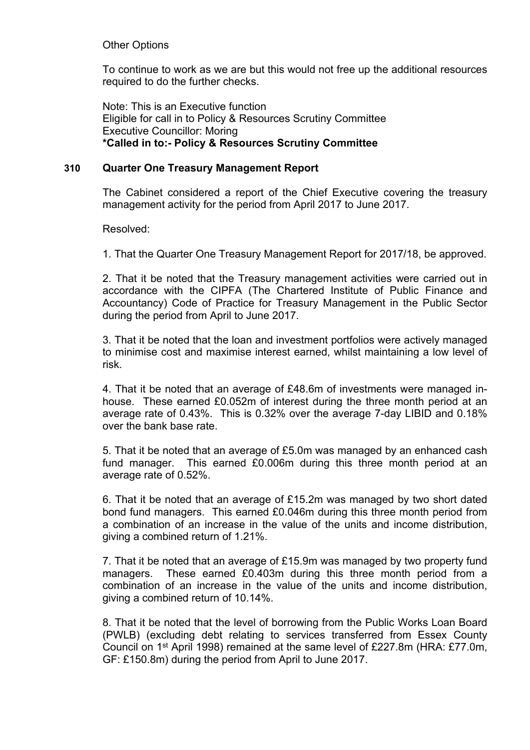## Other Options

To continue to work as we are but this would not free up the additional resources required to do the further checks.

Note: This is an Executive function Eligible for call in to Policy & Resources Scrutiny Committee Executive Councillor: Moring **\*Called in to:- Policy & Resources Scrutiny Committee**

## **310 Quarter One Treasury Management Report**

The Cabinet considered a report of the Chief Executive covering the treasury management activity for the period from April 2017 to June 2017.

Resolved:

1. That the Quarter One Treasury Management Report for 2017/18, be approved.

2. That it be noted that the Treasury management activities were carried out in accordance with the CIPFA (The Chartered Institute of Public Finance and Accountancy) Code of Practice for Treasury Management in the Public Sector during the period from April to June 2017.

3. That it be noted that the loan and investment portfolios were actively managed to minimise cost and maximise interest earned, whilst maintaining a low level of risk.

4. That it be noted that an average of £48.6m of investments were managed inhouse. These earned £0.052m of interest during the three month period at an average rate of 0.43%. This is 0.32% over the average 7-day LIBID and 0.18% over the bank base rate.

5. That it be noted that an average of £5.0m was managed by an enhanced cash fund manager. This earned £0.006m during this three month period at an average rate of 0.52%.

6. That it be noted that an average of £15.2m was managed by two short dated bond fund managers. This earned £0.046m during this three month period from a combination of an increase in the value of the units and income distribution, giving a combined return of 1.21%.

7. That it be noted that an average of £15.9m was managed by two property fund managers. These earned £0.403m during this three month period from a combination of an increase in the value of the units and income distribution, giving a combined return of 10.14%.

8. That it be noted that the level of borrowing from the Public Works Loan Board (PWLB) (excluding debt relating to services transferred from Essex County Council on 1<sup>st</sup> April 1998) remained at the same level of £227.8m (HRA: £77.0m, GF: £150.8m) during the period from April to June 2017.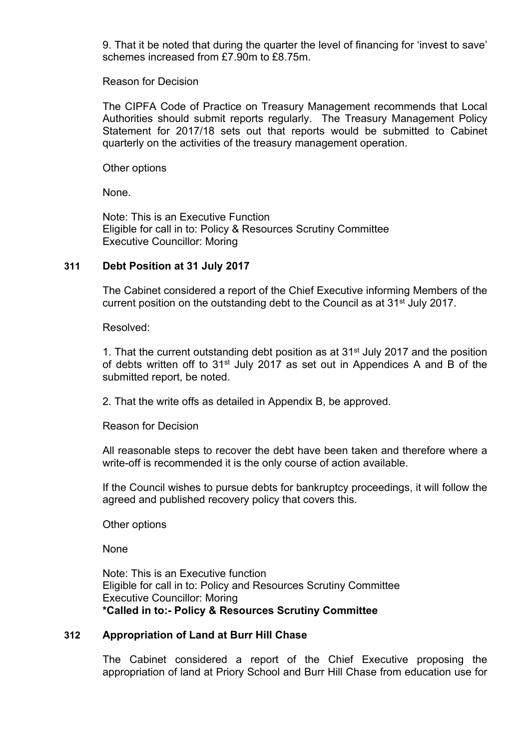9. That it be noted that during the quarter the level of financing for 'invest to save' schemes increased from £7.90m to £8.75m.

Reason for Decision

The CIPFA Code of Practice on Treasury Management recommends that Local Authorities should submit reports regularly. The Treasury Management Policy Statement for 2017/18 sets out that reports would be submitted to Cabinet quarterly on the activities of the treasury management operation.

Other options

None.

Note: This is an Executive Function Eligible for call in to: Policy & Resources Scrutiny Committee Executive Councillor: Moring

### **311 Debt Position at 31 July 2017**

The Cabinet considered a report of the Chief Executive informing Members of the current position on the outstanding debt to the Council as at 31st July 2017.

Resolved:

1. That the current outstanding debt position as at 31st July 2017 and the position of debts written off to 31<sup>st</sup> July 2017 as set out in Appendices A and B of the submitted report, be noted.

2. That the write offs as detailed in Appendix B, be approved.

Reason for Decision

All reasonable steps to recover the debt have been taken and therefore where a write-off is recommended it is the only course of action available.

If the Council wishes to pursue debts for bankruptcy proceedings, it will follow the agreed and published recovery policy that covers this.

Other options

None

Note: This is an Executive function Eligible for call in to: Policy and Resources Scrutiny Committee Executive Councillor: Moring **\*Called in to:- Policy & Resources Scrutiny Committee**

## **312 Appropriation of Land at Burr Hill Chase**

The Cabinet considered a report of the Chief Executive proposing the appropriation of land at Priory School and Burr Hill Chase from education use for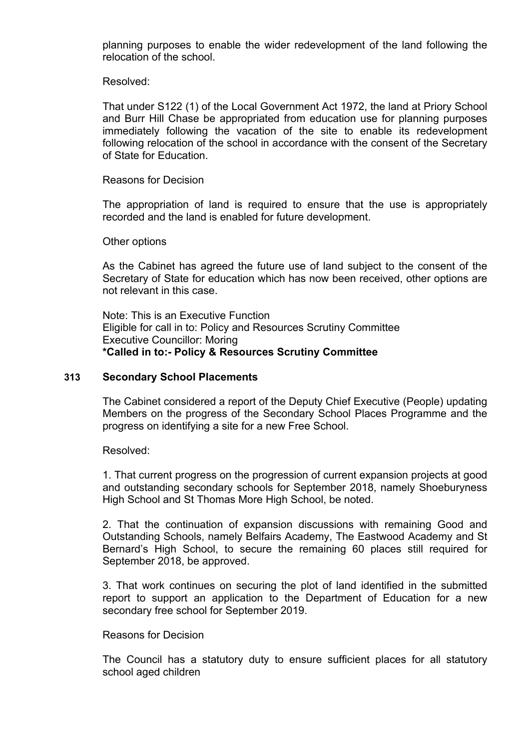planning purposes to enable the wider redevelopment of the land following the relocation of the school.

### Resolved:

That under S122 (1) of the Local Government Act 1972, the land at Priory School and Burr Hill Chase be appropriated from education use for planning purposes immediately following the vacation of the site to enable its redevelopment following relocation of the school in accordance with the consent of the Secretary of State for Education.

### Reasons for Decision

The appropriation of land is required to ensure that the use is appropriately recorded and the land is enabled for future development.

#### Other options

As the Cabinet has agreed the future use of land subject to the consent of the Secretary of State for education which has now been received, other options are not relevant in this case.

Note: This is an Executive Function Eligible for call in to: Policy and Resources Scrutiny Committee Executive Councillor: Moring **\*Called in to:- Policy & Resources Scrutiny Committee**

#### **313 Secondary School Placements**

The Cabinet considered a report of the Deputy Chief Executive (People) updating Members on the progress of the Secondary School Places Programme and the progress on identifying a site for a new Free School.

Resolved:

1. That current progress on the progression of current expansion projects at good and outstanding secondary schools for September 2018, namely Shoeburyness High School and St Thomas More High School, be noted.

2. That the continuation of expansion discussions with remaining Good and Outstanding Schools, namely Belfairs Academy, The Eastwood Academy and St Bernard's High School, to secure the remaining 60 places still required for September 2018, be approved.

3. That work continues on securing the plot of land identified in the submitted report to support an application to the Department of Education for a new secondary free school for September 2019.

### Reasons for Decision

The Council has a statutory duty to ensure sufficient places for all statutory school aged children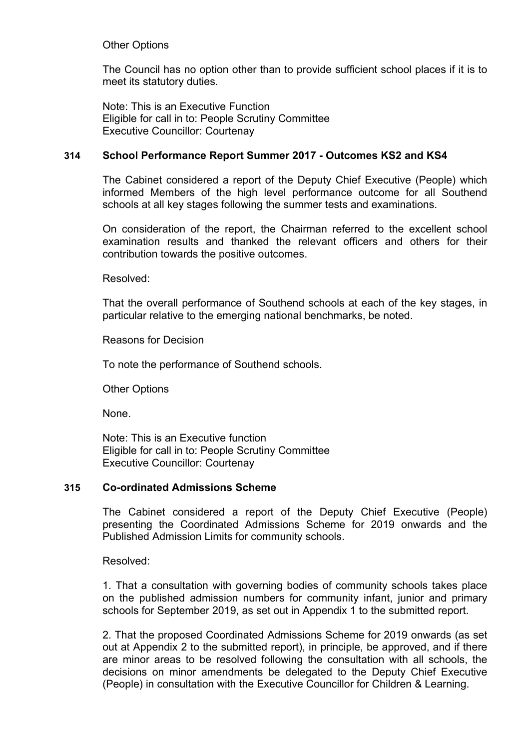## Other Options

The Council has no option other than to provide sufficient school places if it is to meet its statutory duties.

Note: This is an Executive Function Eligible for call in to: People Scrutiny Committee Executive Councillor: Courtenay

## **314 School Performance Report Summer 2017 - Outcomes KS2 and KS4**

The Cabinet considered a report of the Deputy Chief Executive (People) which informed Members of the high level performance outcome for all Southend schools at all key stages following the summer tests and examinations.

On consideration of the report, the Chairman referred to the excellent school examination results and thanked the relevant officers and others for their contribution towards the positive outcomes.

Resolved:

That the overall performance of Southend schools at each of the key stages, in particular relative to the emerging national benchmarks, be noted.

Reasons for Decision

To note the performance of Southend schools.

Other Options

None.

Note: This is an Executive function Eligible for call in to: People Scrutiny Committee Executive Councillor: Courtenay

## **315 Co-ordinated Admissions Scheme**

The Cabinet considered a report of the Deputy Chief Executive (People) presenting the Coordinated Admissions Scheme for 2019 onwards and the Published Admission Limits for community schools.

Resolved:

1. That a consultation with governing bodies of community schools takes place on the published admission numbers for community infant, junior and primary schools for September 2019, as set out in Appendix 1 to the submitted report.

2. That the proposed Coordinated Admissions Scheme for 2019 onwards (as set out at Appendix 2 to the submitted report), in principle, be approved, and if there are minor areas to be resolved following the consultation with all schools, the decisions on minor amendments be delegated to the Deputy Chief Executive (People) in consultation with the Executive Councillor for Children & Learning.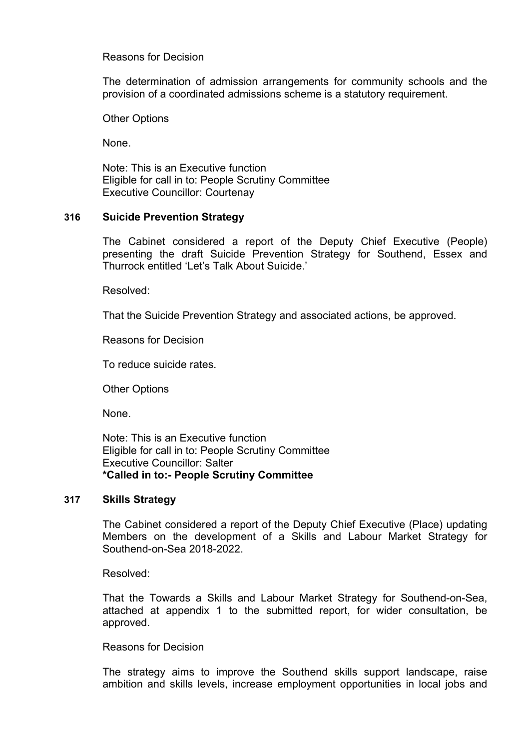## Reasons for Decision

The determination of admission arrangements for community schools and the provision of a coordinated admissions scheme is a statutory requirement.

Other Options

None.

Note: This is an Executive function Eligible for call in to: People Scrutiny Committee Executive Councillor: Courtenay

## **316 Suicide Prevention Strategy**

The Cabinet considered a report of the Deputy Chief Executive (People) presenting the draft Suicide Prevention Strategy for Southend, Essex and Thurrock entitled 'Let's Talk About Suicide.'

Resolved:

That the Suicide Prevention Strategy and associated actions, be approved.

Reasons for Decision

To reduce suicide rates.

Other Options

None.

Note: This is an Executive function Eligible for call in to: People Scrutiny Committee Executive Councillor: Salter **\*Called in to:- People Scrutiny Committee**

### **317 Skills Strategy**

The Cabinet considered a report of the Deputy Chief Executive (Place) updating Members on the development of a Skills and Labour Market Strategy for Southend-on-Sea 2018-2022.

Resolved:

That the Towards a Skills and Labour Market Strategy for Southend-on-Sea, attached at appendix 1 to the submitted report, for wider consultation, be approved.

Reasons for Decision

The strategy aims to improve the Southend skills support landscape, raise ambition and skills levels, increase employment opportunities in local jobs and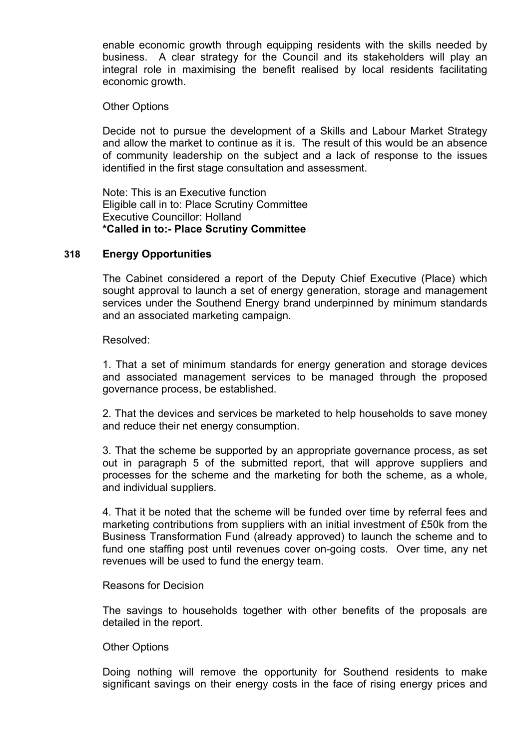enable economic growth through equipping residents with the skills needed by business. A clear strategy for the Council and its stakeholders will play an integral role in maximising the benefit realised by local residents facilitating economic growth.

### Other Options

Decide not to pursue the development of a Skills and Labour Market Strategy and allow the market to continue as it is. The result of this would be an absence of community leadership on the subject and a lack of response to the issues identified in the first stage consultation and assessment.

Note: This is an Executive function Eligible call in to: Place Scrutiny Committee Executive Councillor: Holland **\*Called in to:- Place Scrutiny Committee**

### **318 Energy Opportunities**

The Cabinet considered a report of the Deputy Chief Executive (Place) which sought approval to launch a set of energy generation, storage and management services under the Southend Energy brand underpinned by minimum standards and an associated marketing campaign.

Resolved:

1. That a set of minimum standards for energy generation and storage devices and associated management services to be managed through the proposed governance process, be established.

2. That the devices and services be marketed to help households to save money and reduce their net energy consumption.

3. That the scheme be supported by an appropriate governance process, as set out in paragraph 5 of the submitted report, that will approve suppliers and processes for the scheme and the marketing for both the scheme, as a whole, and individual suppliers.

4. That it be noted that the scheme will be funded over time by referral fees and marketing contributions from suppliers with an initial investment of £50k from the Business Transformation Fund (already approved) to launch the scheme and to fund one staffing post until revenues cover on-going costs. Over time, any net revenues will be used to fund the energy team.

### Reasons for Decision

The savings to households together with other benefits of the proposals are detailed in the report.

### Other Options

Doing nothing will remove the opportunity for Southend residents to make significant savings on their energy costs in the face of rising energy prices and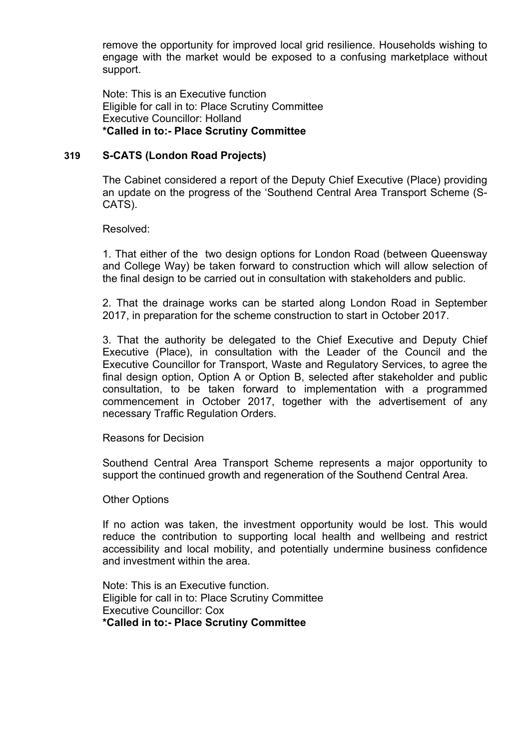remove the opportunity for improved local grid resilience. Households wishing to engage with the market would be exposed to a confusing marketplace without support.

Note: This is an Executive function Eligible for call in to: Place Scrutiny Committee Executive Councillor: Holland **\*Called in to:- Place Scrutiny Committee**

### **319 S-CATS (London Road Projects)**

The Cabinet considered a report of the Deputy Chief Executive (Place) providing an update on the progress of the 'Southend Central Area Transport Scheme (S-CATS).

Resolved:

1. That either of the two design options for London Road (between Queensway and College Way) be taken forward to construction which will allow selection of the final design to be carried out in consultation with stakeholders and public.

2. That the drainage works can be started along London Road in September 2017, in preparation for the scheme construction to start in October 2017.

3. That the authority be delegated to the Chief Executive and Deputy Chief Executive (Place), in consultation with the Leader of the Council and the Executive Councillor for Transport, Waste and Regulatory Services, to agree the final design option, Option A or Option B, selected after stakeholder and public consultation, to be taken forward to implementation with a programmed commencement in October 2017, together with the advertisement of any necessary Traffic Regulation Orders.

Reasons for Decision

Southend Central Area Transport Scheme represents a major opportunity to support the continued growth and regeneration of the Southend Central Area.

Other Options

If no action was taken, the investment opportunity would be lost. This would reduce the contribution to supporting local health and wellbeing and restrict accessibility and local mobility, and potentially undermine business confidence and investment within the area.

Note: This is an Executive function. Eligible for call in to: Place Scrutiny Committee Executive Councillor: Cox **\*Called in to:- Place Scrutiny Committee**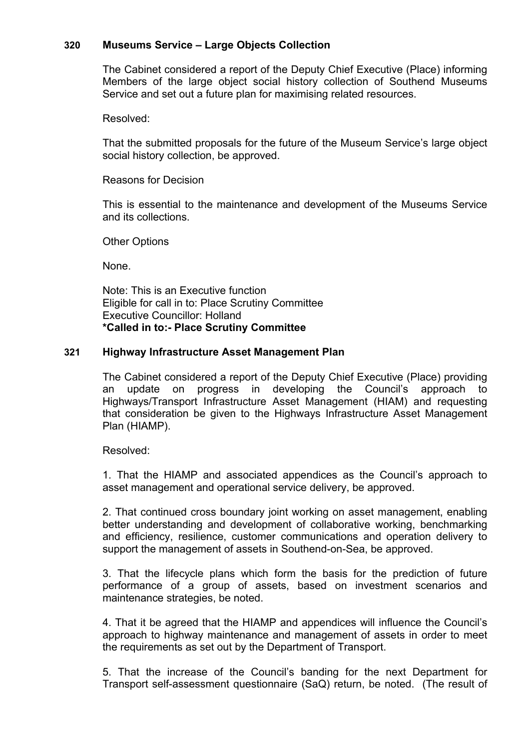## **320 Museums Service – Large Objects Collection**

The Cabinet considered a report of the Deputy Chief Executive (Place) informing Members of the large object social history collection of Southend Museums Service and set out a future plan for maximising related resources.

Resolved:

That the submitted proposals for the future of the Museum Service's large object social history collection, be approved.

Reasons for Decision

This is essential to the maintenance and development of the Museums Service and its collections.

Other Options

None.

Note: This is an Executive function Eligible for call in to: Place Scrutiny Committee Executive Councillor: Holland **\*Called in to:- Place Scrutiny Committee**

### **321 Highway Infrastructure Asset Management Plan**

The Cabinet considered a report of the Deputy Chief Executive (Place) providing an update on progress in developing the Council's approach to Highways/Transport Infrastructure Asset Management (HIAM) and requesting that consideration be given to the Highways Infrastructure Asset Management Plan (HIAMP).

Resolved:

1. That the HIAMP and associated appendices as the Council's approach to asset management and operational service delivery, be approved.

2. That continued cross boundary joint working on asset management, enabling better understanding and development of collaborative working, benchmarking and efficiency, resilience, customer communications and operation delivery to support the management of assets in Southend-on-Sea, be approved.

3. That the lifecycle plans which form the basis for the prediction of future performance of a group of assets, based on investment scenarios and maintenance strategies, be noted.

4. That it be agreed that the HIAMP and appendices will influence the Council's approach to highway maintenance and management of assets in order to meet the requirements as set out by the Department of Transport.

5. That the increase of the Council's banding for the next Department for Transport self-assessment questionnaire (SaQ) return, be noted. (The result of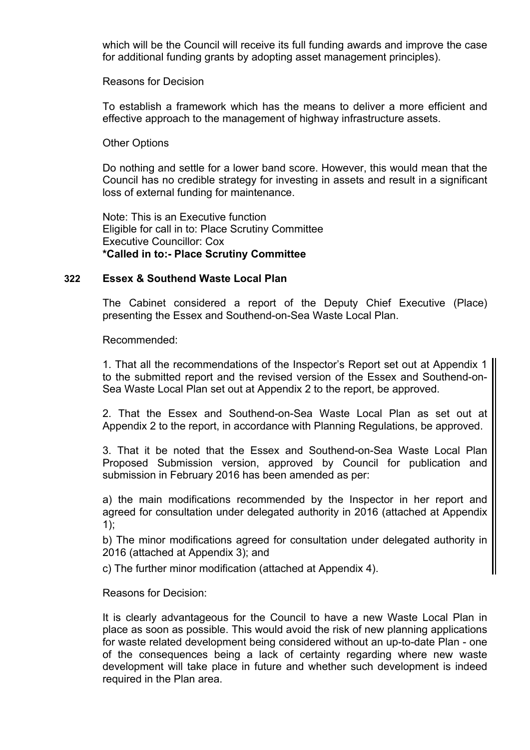which will be the Council will receive its full funding awards and improve the case for additional funding grants by adopting asset management principles).

Reasons for Decision

To establish a framework which has the means to deliver a more efficient and effective approach to the management of highway infrastructure assets.

### Other Options

Do nothing and settle for a lower band score. However, this would mean that the Council has no credible strategy for investing in assets and result in a significant loss of external funding for maintenance.

Note: This is an Executive function Eligible for call in to: Place Scrutiny Committee Executive Councillor: Cox **\*Called in to:- Place Scrutiny Committee**

#### **322 Essex & Southend Waste Local Plan**

The Cabinet considered a report of the Deputy Chief Executive (Place) presenting the Essex and Southend-on-Sea Waste Local Plan.

Recommended:

1. That all the recommendations of the Inspector's Report set out at Appendix 1 to the submitted report and the revised version of the Essex and Southend-on-Sea Waste Local Plan set out at Appendix 2 to the report, be approved.

2. That the Essex and Southend-on-Sea Waste Local Plan as set out at Appendix 2 to the report, in accordance with Planning Regulations, be approved.

3. That it be noted that the Essex and Southend-on-Sea Waste Local Plan Proposed Submission version, approved by Council for publication and submission in February 2016 has been amended as per:

a) the main modifications recommended by the Inspector in her report and agreed for consultation under delegated authority in 2016 (attached at Appendix 1);

b) The minor modifications agreed for consultation under delegated authority in 2016 (attached at Appendix 3); and

c) The further minor modification (attached at Appendix 4).

Reasons for Decision:

It is clearly advantageous for the Council to have a new Waste Local Plan in place as soon as possible. This would avoid the risk of new planning applications for waste related development being considered without an up-to-date Plan - one of the consequences being a lack of certainty regarding where new waste development will take place in future and whether such development is indeed required in the Plan area.